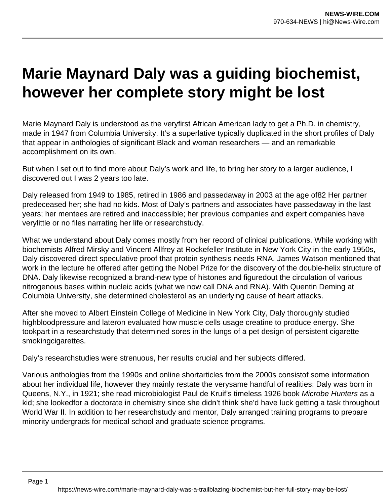## **Marie Maynard Daly was a guiding biochemist, however her complete story might be lost**

Marie Maynard Daly is understood as the veryfirst African American lady to get a Ph.D. in chemistry, made in 1947 from Columbia University. It's a superlative typically duplicated in the short profiles of Daly that appear in anthologies of significant Black and woman researchers — and an remarkable accomplishment on its own.

But when I set out to find more about Daly's work and life, to bring her story to a larger audience, I discovered out I was 2 years too late.

Daly released from 1949 to 1985, retired in 1986 and passedaway in 2003 at the age of82 Her partner predeceased her; she had no kids. Most of Daly's partners and associates have passedaway in the last years; her mentees are retired and inaccessible; her previous companies and expert companies have verylittle or no files narrating her life or researchstudy.

What we understand about Daly comes mostly from her record of clinical publications. While working with biochemists Alfred Mirsky and Vincent Allfrey at Rockefeller Institute in New York City in the early 1950s, Daly discovered direct speculative proof that protein synthesis needs RNA. James Watson mentioned that work in the lecture he offered after getting the Nobel Prize for the discovery of the double-helix structure of DNA. Daly likewise recognized a brand-new type of histones and figuredout the circulation of various nitrogenous bases within nucleic acids (what we now call DNA and RNA). With Quentin Deming at Columbia University, she determined cholesterol as an underlying cause of heart attacks.

After she moved to Albert Einstein College of Medicine in New York City, Daly thoroughly studied highbloodpressure and lateron evaluated how muscle cells usage creatine to produce energy. She tookpart in a researchstudy that determined sores in the lungs of a pet design of persistent cigarette smokingcigarettes.

Daly's researchstudies were strenuous, her results crucial and her subjects differed.

Various anthologies from the 1990s and online shortarticles from the 2000s consistof some information about her individual life, however they mainly restate the verysame handful of realities: Daly was born in Queens, N.Y., in 1921; she read microbiologist Paul de Kruif's timeless 1926 book Microbe Hunters as a kid; she lookedfor a doctorate in chemistry since she didn't think she'd have luck getting a task throughout World War II. In addition to her researchstudy and mentor, Daly arranged training programs to prepare minority undergrads for medical school and graduate science programs.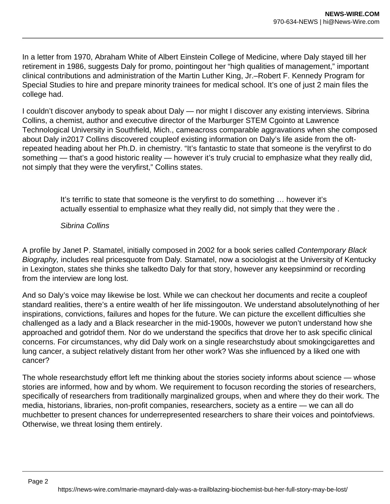In a letter from 1970, Abraham White of Albert Einstein College of Medicine, where Daly stayed till her retirement in 1986, suggests Daly for promo, pointingout her "high qualities of management," important clinical contributions and administration of the Martin Luther King, Jr.–Robert F. Kennedy Program for Special Studies to hire and prepare minority trainees for medical school. It's one of just 2 main files the college had.

I couldn't discover anybody to speak about Daly — nor might I discover any existing interviews. Sibrina Collins, a chemist, author and executive director of the Marburger STEM Cgointo at Lawrence Technological University in Southfield, Mich., cameacross comparable aggravations when she composed about Daly in2017 Collins discovered coupleof existing information on Daly's life aside from the oftrepeated heading about her Ph.D. in chemistry. "It's fantastic to state that someone is the veryfirst to do something — that's a good historic reality — however it's truly crucial to emphasize what they really did, not simply that they were the veryfirst," Collins states.

> It's terrific to state that someone is the veryfirst to do something … however it's actually essential to emphasize what they really did, not simply that they were the .

## Sibrina Collins

A profile by Janet P. Stamatel, initially composed in 2002 for a book series called Contemporary Black Biography, includes real pricesquote from Daly. Stamatel, now a sociologist at the University of Kentucky in Lexington, states she thinks she talkedto Daly for that story, however any keepsinmind or recording from the interview are long lost.

And so Daly's voice may likewise be lost. While we can checkout her documents and recite a coupleof standard realities, there's a entire wealth of her life missingouton. We understand absolutelynothing of her inspirations, convictions, failures and hopes for the future. We can picture the excellent difficulties she challenged as a lady and a Black researcher in the mid-1900s, however we puton't understand how she approached and gotridof them. Nor do we understand the specifics that drove her to ask specific clinical concerns. For circumstances, why did Daly work on a single researchstudy about smokingcigarettes and lung cancer, a subject relatively distant from her other work? Was she influenced by a liked one with cancer?

The whole researchstudy effort left me thinking about the stories society informs about science — whose stories are informed, how and by whom. We requirement to focuson recording the stories of researchers, specifically of researchers from traditionally marginalized groups, when and where they do their work. The media, historians, libraries, non-profit companies, researchers, society as a entire — we can all do muchbetter to present chances for underrepresented researchers to share their voices and pointofviews. Otherwise, we threat losing them entirely.